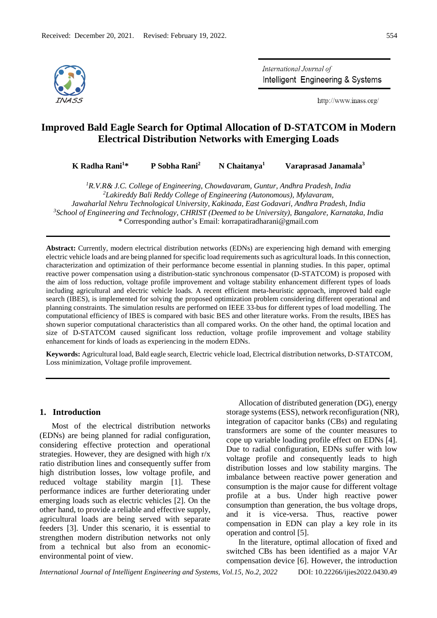

International Journal of Intelligent Engineering & Systems

http://www.inass.org/

# **Improved Bald Eagle Search for Optimal Allocation of D-STATCOM in Modern Electrical Distribution Networks with Emerging Loads**

**K Radha Rani<sup>1</sup>\* P Sobha Rani<sup>2</sup> N Chaitanya<sup>1</sup> Varaprasad Janamala<sup>3</sup>**

*<sup>1</sup>R.V.R& J.C. College of Engineering, Chowdavaram, Guntur, Andhra Pradesh, India <sup>2</sup>Lakireddy Bali Reddy College of Engineering (Autonomous), Mylavaram, Jawaharlal Nehru Technological University, Kakinada, East Godavari, Andhra Pradesh, India <sup>3</sup>School of Engineering and Technology, CHRIST (Deemed to be University), Bangalore, Karnataka, India* \* Corresponding author's Email: korrapatiradharani@gmail.com

**Abstract:** Currently, modern electrical distribution networks (EDNs) are experiencing high demand with emerging electric vehicle loads and are being planned for specific load requirements such as agricultural loads. In this connection, characterization and optimization of their performance become essential in planning studies. In this paper, optimal reactive power compensation using a distribution-static synchronous compensator (D-STATCOM) is proposed with the aim of loss reduction, voltage profile improvement and voltage stability enhancement different types of loads including agricultural and electric vehicle loads. A recent efficient meta-heuristic approach, improved bald eagle search (IBES), is implemented for solving the proposed optimization problem considering different operational and planning constraints. The simulation results are performed on IEEE 33-bus for different types of load modelling. The computational efficiency of IBES is compared with basic BES and other literature works. From the results, IBES has shown superior computational characteristics than all compared works. On the other hand, the optimal location and size of D-STATCOM caused significant loss reduction, voltage profile improvement and voltage stability enhancement for kinds of loads as experiencing in the modern EDNs.

**Keywords:** Agricultural load, Bald eagle search, Electric vehicle load, Electrical distribution networks, D-STATCOM, Loss minimization, Voltage profile improvement.

# **1. Introduction**

Most of the electrical distribution networks (EDNs) are being planned for radial configuration, considering effective protection and operational strategies. However, they are designed with high r/x ratio distribution lines and consequently suffer from high distribution losses, low voltage profile, and reduced voltage stability margin [1]. These performance indices are further deteriorating under emerging loads such as electric vehicles [2]. On the other hand, to provide a reliable and effective supply, agricultural loads are being served with separate feeders [3]. Under this scenario, it is essential to strengthen modern distribution networks not only from a technical but also from an economicenvironmental point of view.

Allocation of distributed generation (DG), energy storage systems (ESS), network reconfiguration (NR), integration of capacitor banks (CBs) and regulating transformers are some of the counter measures to cope up variable loading profile effect on EDNs [4]. Due to radial configuration, EDNs suffer with low voltage profile and consequently leads to high distribution losses and low stability margins. The imbalance between reactive power generation and consumption is the major cause for different voltage profile at a bus. Under high reactive power consumption than generation, the bus voltage drops, and it is vice-versa. Thus, reactive power compensation in EDN can play a key role in its operation and control [5].

In the literature, optimal allocation of fixed and switched CBs has been identified as a major VAr compensation device [6]. However, the introduction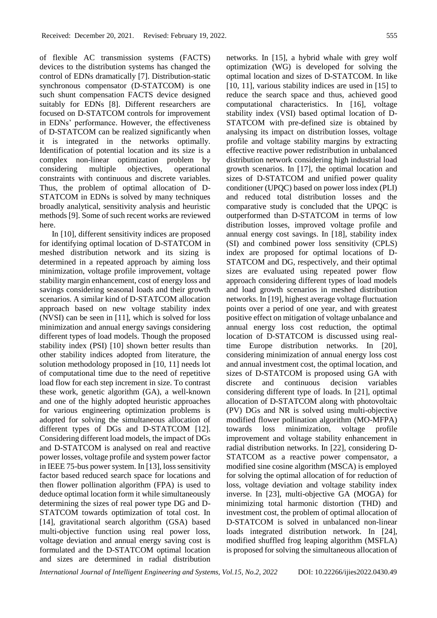of flexible AC transmission systems (FACTS) devices to the distribution systems has changed the control of EDNs dramatically [7]. Distribution-static synchronous compensator (D-STATCOM) is one such shunt compensation FACTS device designed suitably for EDNs [8]. Different researchers are focused on D-STATCOM controls for improvement in EDNs' performance. However, the effectiveness of D-STATCOM can be realized significantly when it is integrated in the networks optimally. Identification of potential location and its size is a complex non-linear optimization problem by considering multiple objectives, operational constraints with continuous and discrete variables. Thus, the problem of optimal allocation of D-STATCOM in EDNs is solved by many techniques broadly analytical, sensitivity analysis and heuristic methods [9]. Some of such recent works are reviewed here.

In [10], different sensitivity indices are proposed for identifying optimal location of D-STATCOM in meshed distribution network and its sizing is determined in a repeated approach by aiming loss minimization, voltage profile improvement, voltage stability margin enhancement, cost of energy loss and savings considering seasonal loads and their growth scenarios. A similar kind of D-STATCOM allocation approach based on new voltage stability index (NVSI) can be seen in [11], which is solved for loss minimization and annual energy savings considering different types of load models. Though the proposed stability index (PSI) [10] shown better results than other stability indices adopted from literature, the solution methodology proposed in [10, 11] needs lot of computational time due to the need of repetitive load flow for each step increment in size. To contrast these work, genetic algorithm (GA), a well-known and one of the highly adopted heuristic approaches for various engineering optimization problems is adopted for solving the simultaneous allocation of different types of DGs and D-STATCOM [12]. Considering different load models, the impact of DGs and D-STATCOM is analysed on real and reactive power losses, voltage profile and system power factor in IEEE 75-bus power system. In [13], loss sensitivity factor based reduced search space for locations and then flower pollination algorithm (FPA) is used to deduce optimal location form it while simultaneously determining the sizes of real power type DG and D-STATCOM towards optimization of total cost. In [14], gravitational search algorithm (GSA) based multi-objective function using real power loss, voltage deviation and annual energy saving cost is formulated and the D-STATCOM optimal location and sizes are determined in radial distribution

networks. In [15], a hybrid whale with grey wolf optimization (WG) is developed for solving the optimal location and sizes of D-STATCOM. In like [10, 11], various stability indices are used in [15] to reduce the search space and thus, achieved good computational characteristics. In [16], voltage stability index (VSI) based optimal location of D-STATCOM with pre-defined size is obtained by analysing its impact on distribution losses, voltage profile and voltage stability margins by extracting effective reactive power redistribution in unbalanced distribution network considering high industrial load growth scenarios. In [17], the optimal location and sizes of D-STATCOM and unified power quality conditioner (UPQC) based on power loss index (PLI) and reduced total distribution losses and the comparative study is concluded that the UPQC is outperformed than D-STATCOM in terms of low distribution losses, improved voltage profile and annual energy cost savings. In [18], stability index (SI) and combined power loss sensitivity (CPLS) index are proposed for optimal locations of D-STATCOM and DG, respectively, and their optimal sizes are evaluated using repeated power flow approach considering different types of load models and load growth scenarios in meshed distribution networks. In [19], highest average voltage fluctuation points over a period of one year, and with greatest positive effect on mitigation of voltage unbalance and annual energy loss cost reduction, the optimal location of D-STATCOM is discussed using realtime Europe distribution networks. In [20], considering minimization of annual energy loss cost and annual investment cost, the optimal location, and sizes of D-STATCOM is proposed using GA with discrete and continuous decision variables considering different type of loads. In [21], optimal allocation of D-STATCOM along with photovoltaic (PV) DGs and NR is solved using multi-objective modified flower pollination algorithm (MO-MFPA) towards loss minimization, voltage profile improvement and voltage stability enhancement in radial distribution networks. In [22], considering D-STATCOM as a reactive power compensator, a modified sine cosine algorithm (MSCA) is employed for solving the optimal allocation of for reduction of loss, voltage deviation and voltage stability index inverse. In [23], multi-objective GA (MOGA) for minimizing total harmonic distortion (THD) and investment cost, the problem of optimal allocation of D-STATCOM is solved in unbalanced non-linear loads integrated distribution network. In [24], modified shuffled frog leaping algorithm (MSFLA) is proposed for solving the simultaneous allocation of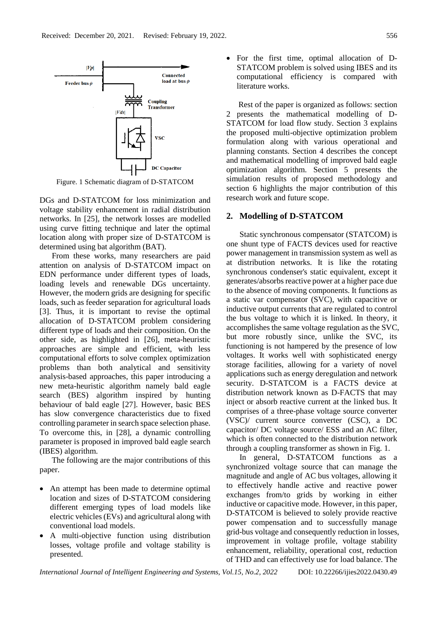

Figure. 1 Schematic diagram of D-STATCOM

DGs and D-STATCOM for loss minimization and voltage stability enhancement in radial distribution networks. In [25], the network losses are modelled using curve fitting technique and later the optimal location along with proper size of D-STATCOM is determined using bat algorithm (BAT).

From these works, many researchers are paid attention on analysis of D-STATCOM impact on EDN performance under different types of loads, loading levels and renewable DGs uncertainty. However, the modern grids are designing for specific loads, such as feeder separation for agricultural loads [3]. Thus, it is important to revise the optimal allocation of D-STATCOM problem considering different type of loads and their composition. On the other side, as highlighted in [26], meta-heuristic approaches are simple and efficient, with less computational efforts to solve complex optimization problems than both analytical and sensitivity analysis-based approaches, this paper introducing a new meta-heuristic algorithm namely bald eagle search (BES) algorithm inspired by hunting behaviour of bald eagle [27]. However, basic BES has slow convergence characteristics due to fixed controlling parameter in search space selection phase. To overcome this, in [28], a dynamic controlling parameter is proposed in improved bald eagle search (IBES) algorithm.

The following are the major contributions of this paper.

- An attempt has been made to determine optimal location and sizes of D-STATCOM considering different emerging types of load models like electric vehicles (EVs) and agricultural along with conventional load models.
- A multi-objective function using distribution losses, voltage profile and voltage stability is presented.

• For the first time, optimal allocation of D-STATCOM problem is solved using IBES and its computational efficiency is compared with literature works.

Rest of the paper is organized as follows: section 2 presents the mathematical modelling of D-STATCOM for load flow study. Section 3 explains the proposed multi-objective optimization problem formulation along with various operational and planning constants. Section 4 describes the concept and mathematical modelling of improved bald eagle optimization algorithm. Section 5 presents the simulation results of proposed methodology and section 6 highlights the major contribution of this research work and future scope.

## **2. Modelling of D-STATCOM**

Static synchronous compensator (STATCOM) is one shunt type of FACTS devices used for reactive power management in transmission system as well as at distribution networks. It is like the rotating synchronous condenser's static equivalent, except it generates/absorbs reactive power at a higher pace due to the absence of moving components. It functions as a static var compensator (SVC), with capacitive or inductive output currents that are regulated to control the bus voltage to which it is linked. In theory, it accomplishes the same voltage regulation as the SVC, but more robustly since, unlike the SVC, its functioning is not hampered by the presence of low voltages. It works well with sophisticated energy storage facilities, allowing for a variety of novel applications such as energy deregulation and network security. D-STATCOM is a FACTS device at distribution network known as D-FACTS that may inject or absorb reactive current at the linked bus. It comprises of a three-phase voltage source converter (VSC)/ current source converter (CSC), a DC capacitor/ DC voltage source/ ESS and an AC filter, which is often connected to the distribution network through a coupling transformer as shown in Fig. 1.

In general, D-STATCOM functions as a synchronized voltage source that can manage the magnitude and angle of AC bus voltages, allowing it to effectively handle active and reactive power exchanges from/to grids by working in either inductive or capacitive mode. However, in this paper, D-STATCOM is believed to solely provide reactive power compensation and to successfully manage grid-bus voltage and consequently reduction in losses, improvement in voltage profile, voltage stability enhancement, reliability, operational cost, reduction of THD and can effectively use for load balance. The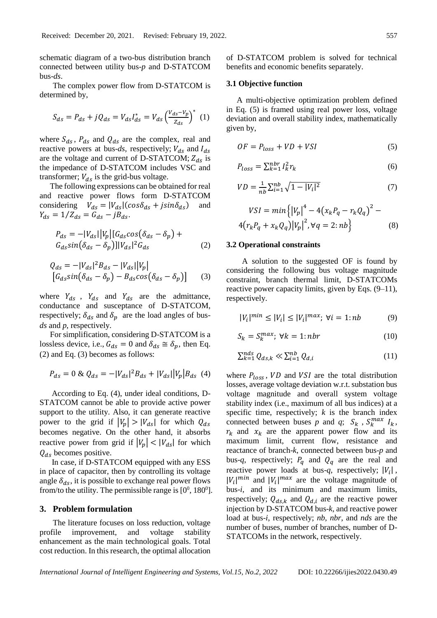schematic diagram of a two-bus distribution branch connected between utility bus-*p* and D-STATCOM bus-*ds*.

The complex power flow from D-STATCOM is determined by,

$$
S_{ds} = P_{ds} + jQ_{ds} = V_{ds}I_{ds}^* = V_{ds} \left(\frac{V_{ds} - V_p}{Z_{ds}}\right)^* (1)
$$

where  $S_{ds}$ ,  $P_{ds}$  and  $Q_{ds}$  are the complex, real and reactive powers at bus- $ds$ , respectively;  $V_{ds}$  and  $I_{ds}$ are the voltage and current of D-STATCOM;  $Z_{ds}$  is the impedance of D-STATCOM includes VSC and transformer;  $V_{ds}$  is the grid-bus voltage.

The following expressions can be obtained for real and reactive power flows form D-STATCOM considering  $V_{ds} = |V_{ds}|(cos\delta_{ds} + j sin\delta_{ds})$  and  $Y_{ds} = 1/Z_{ds} = G_{ds} - jB_{ds}.$ 

$$
P_{ds} = -|V_{ds}| |V_p| [G_{ds} \cos(\delta_{ds} - \delta_p) +
$$
  
\n
$$
G_{ds} \sin(\delta_{ds} - \delta_p)] |V_{ds}|^2 G_{ds}
$$
\n(2)

$$
Q_{ds} = -|V_{ds}|^2 B_{ds} - |V_{ds}| |V_p|
$$
  
\n
$$
[G_{ds} sin(\delta_{ds} - \delta_p) - B_{ds} cos(\delta_{ds} - \delta_p)]
$$
 (3)

where  $Y_{ds}$ ,  $Y_{ds}$  and  $Y_{ds}$  are the admittance, conductance and susceptance of D-STATCOM, respectively;  $\delta_{ds}$  and  $\delta_p$  are the load angles of bus*ds* and *p*, respectively.

For simplification, considering D-STATCOM is a lossless device, i.e.,  $G_{ds} = 0$  and  $\delta_{ds} \approx \delta_p$ , then Eq. (2) and Eq. (3) becomes as follows:

$$
P_{ds} = 0 \& Q_{ds} = -|V_{ds}|^2 B_{ds} + |V_{ds}| |V_p| B_{ds} \tag{4}
$$

According to Eq. (4), under ideal conditions, D-STATCOM cannot be able to provide active power support to the utility. Also, it can generate reactive power to the grid if  $|V_n| > |V_{ds}|$  for which  $Q_{ds}$ becomes negative. On the other hand, it absorbs reactive power from grid if  $|V_p| < |V_{ds}|$  for which  $Q_{ds}$  becomes positive.

In case, if D-STATCOM equipped with any ESS in place of capacitor, then by controlling its voltage angle  $\delta_{ds}$ , it is possible to exchange real power flows from/to the utility. The permissible range is  $[0^0, 180^0]$ .

# **3. Problem formulation**

The literature focuses on loss reduction, voltage profile improvement, and voltage stability enhancement as the main technological goals. Total cost reduction. In this research, the optimal allocation of D-STATCOM problem is solved for technical benefits and economic benefits separately.

## **3.1 Objective function**

A multi-objective optimization problem defined in Eq. (5) is framed using real power loss, voltage deviation and overall stability index, mathematically given by,

$$
OF = P_{loss} + VD + VSI \tag{5}
$$

$$
P_{loss} = \sum_{k=1}^{nbr} I_k^2 r_k \tag{6}
$$

$$
VD = \frac{1}{nb} \sum_{i=1}^{nb} \sqrt{1 - |V_i|^2} \tag{7}
$$

$$
VSI = min \{ |V_p|^4 - 4(x_k P_q - r_k Q_q)^2 - 4(r_k P_q + x_k Q_q) |V_p|^2, \forall q = 2 : nb \}
$$
\n(8)

## **3.2 Operational constraints**

A solution to the suggested OF is found by considering the following bus voltage magnitude constraint, branch thermal limit, D-STATCOMs reactive power capacity limits, given by Eqs. (9–11), respectively.

$$
|V_i|^{min} \le |V_i| \le |V_i|^{max}; \ \forall i = 1:nb \tag{9}
$$

$$
S_k = S_k^{max}; \ \forall k = 1: nbr \tag{10}
$$

$$
\sum_{k=1}^{nds} Q_{ds,k} \ll \sum_{i=1}^{nb} Q_{d,i} \tag{11}
$$

where  $P_{loss}$ , VD and VSI are the total distribution losses, average voltage deviation w.r.t. substation bus voltage magnitude and overall system voltage stability index (i.e., maximum of all bus indices) at a specific time, respectively;  $k$  is the branch index connected between buses *p* and *q*;  $S_k$ ,  $S_k^{max}$   $I_k$ ,  $r_k$  and  $x_k$  are the apparent power flow and its maximum limit, current flow, resistance and reactance of branch-*k*, connected between bus-*p* and bus-q, respectively;  $P_q$  and  $Q_q$  are the real and reactive power loads at bus-*q*, respectively;  $|V_i|$ ,  $|V_i|^{min}$  and  $|V_i|^{max}$  are the voltage magnitude of bus-*i*, and its minimum and maximum limits, respectively;  $Q_{ds,k}$  and  $Q_{d,i}$  are the reactive power injection by D-STATCOM bus-*k*, and reactive power load at bus-*i*, respectively; *nb*, *nbr*, and *nds* are the number of buses, number of branches, number of D-STATCOMs in the network, respectively.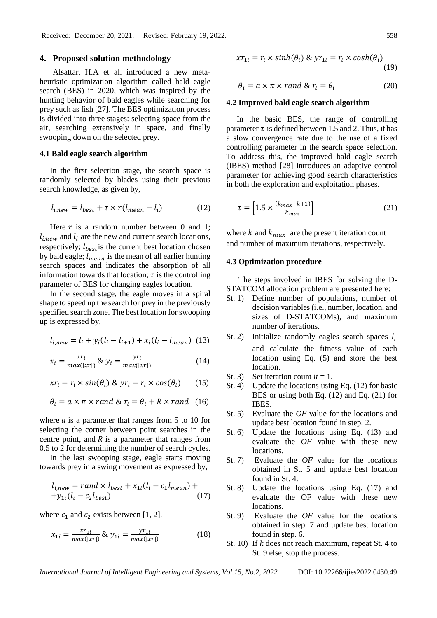## **4. Proposed solution methodology**

Alsattar, H.A et al. introduced a new metaheuristic optimization algorithm called bald eagle search (BES) in 2020, which was inspired by the hunting behavior of bald eagles while searching for prey such as fish [27]. The BES optimization process is divided into three stages: selecting space from the air, searching extensively in space, and finally swooping down on the selected prey.

#### **4.1 Bald eagle search algorithm**

In the first selection stage, the search space is randomly selected by blades using their previous search knowledge, as given by,

$$
l_{i,new} = l_{best} + \tau \times r(l_{mean} - l_i)
$$
 (12)

Here  $r$  is a random number between 0 and 1;  $l_{i}$ <sub>new</sub> and  $l_i$  are the new and current search locations, respectively;  $l_{best}$  is the current best location chosen by bald eagle;  $l_{mean}$  is the mean of all earlier hunting search spaces and indicates the absorption of all information towards that location;  $\tau$  is the controlling parameter of BES for changing eagles location.

In the second stage, the eagle moves in a spiral shape to speed up the search for prey in the previously specified search zone. The best location for swooping up is expressed by,

$$
l_{i,new} = l_i + y_i(l_i - l_{i+1}) + x_i(l_i - l_{mean})
$$
 (13)

$$
x_i = \frac{x r_i}{\max(|xr|)} \& y_i = \frac{y r_i}{\max(|xr|)}\tag{14}
$$

$$
xr_i = r_i \times \sin(\theta_i) \&\ yr_i = r_i \times \cos(\theta_i) \tag{15}
$$

$$
\theta_i = a \times \pi \times rand \& r_i = \theta_i + R \times rand \quad (16)
$$

where  $a$  is a parameter that ranges from 5 to 10 for selecting the corner between point searches in the centre point, and  $R$  is a parameter that ranges from 0.5 to 2 for determining the number of search cycles.

In the last swooping stage, eagle starts moving towards prey in a swing movement as expressed by,

$$
l_{i,new} = rand \times l_{best} + x_{1i}(l_i - c_1 l_{mean}) ++ y_{1i}(l_i - c_2 l_{best})
$$
 (17)

where  $c_1$  and  $c_2$  exists between [1, 2].

$$
x_{1i} = \frac{x r_{1i}}{max(|xr|)} \& y_{1i} = \frac{y r_{1i}}{max(|xr|)}
$$
 (18)

$$
xr_{1i} = r_i \times sinh(\theta_i) \&\ yr_{1i} = r_i \times cosh(\theta_i)
$$
\n(19)

$$
\theta_i = a \times \pi \times rand \& r_i = \theta_i \tag{20}
$$

#### **4.2 Improved bald eagle search algorithm**

In the basic BES, the range of controlling parameter  $\tau$  is defined between 1.5 and 2. Thus, it has a slow convergence rate due to the use of a fixed controlling parameter in the search space selection. To address this, the improved bald eagle search (IBES) method [28] introduces an adaptive control parameter for achieving good search characteristics in both the exploration and exploitation phases.

$$
\tau = \left[1.5 \times \frac{(k_{max} - k + 1)}{k_{max}}\right] \tag{21}
$$

where  $k$  and  $k_{max}$  are the present iteration count and number of maximum iterations, respectively.

# **4.3 Optimization procedure**

The steps involved in IBES for solving the D-STATCOM allocation problem are presented here:

- St. 1) Define number of populations, number of decision variables (i.e., number, location, and sizes of D-STATCOMs), and maximum number of iterations.
- St. 2) Initialize randomly eagles search spaces  $l_i$ and calculate the fitness value of each location using Eq. (5) and store the best location.
- St. 3) Set iteration count  $it = 1$ .
- St. 4) Update the locations using Eq. (12) for basic BES or using both Eq. (12) and Eq. (21) for IBES.
- St. 5) Evaluate the *OF* value for the locations and update best location found in step. 2.
- St. 6) Update the locations using Eq. (13) and evaluate the *OF* value with these new locations.
- St. 7) Evaluate the *OF* value for the locations obtained in St. 5 and update best location found in St. 4.
- St. 8) Update the locations using Eq. (17) and evaluate the OF value with these new locations.
- St. 9) Evaluate the *OF* value for the locations obtained in step. 7 and update best location found in step. 6.
- St. 10) If *k* does not reach maximum, repeat St. 4 to St. 9 else, stop the process.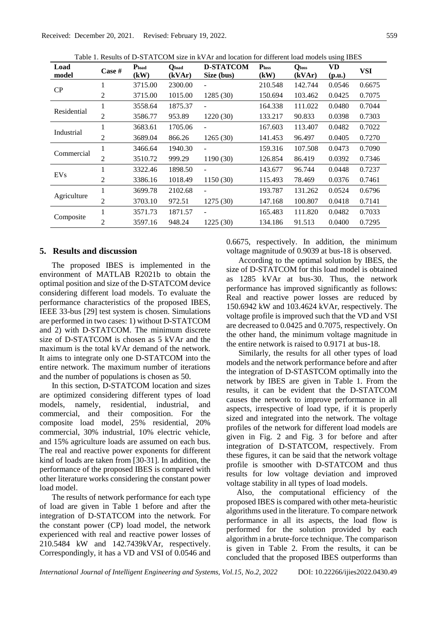Table 1. Results of D-STATCOM size in kVAr and location for different load models using IBES

| Load<br>model | Case # | $P_{load}$<br>(kW) | <b>Q</b> load<br>(kVAr) | <b>D-STATCOM</b><br>Size (bus) | P <sub>loss</sub><br>(kW) | <b>Q</b> loss<br>(kVAr) | VD<br>(p.u.) | <b>VSI</b> |
|---------------|--------|--------------------|-------------------------|--------------------------------|---------------------------|-------------------------|--------------|------------|
| CP            | 1      | 3715.00            | 2300.00                 | -                              | 210.548                   | 142.744                 | 0.0546       | 0.6675     |
|               | 2      | 3715.00            | 1015.00                 | 1285 (30)                      | 150.694                   | 103.462                 | 0.0425       | 0.7075     |
| Residential   |        | 3558.64            | 1875.37                 | $\blacksquare$                 | 164.338                   | 111.022                 | 0.0480       | 0.7044     |
|               | 2      | 3586.77            | 953.89                  | 1220 (30)                      | 133.217                   | 90.833                  | 0.0398       | 0.7303     |
| Industrial    |        | 3683.61            | 1705.06                 | -                              | 167.603                   | 113.407                 | 0.0482       | 0.7022     |
|               | 2      | 3689.04            | 866.26                  | 1265 (30)                      | 141.453                   | 96.497                  | 0.0405       | 0.7270     |
| Commercial    |        | 3466.64            | 1940.30                 | ۰                              | 159.316                   | 107.508                 | 0.0473       | 0.7090     |
|               | 2      | 3510.72            | 999.29                  | 1190(30)                       | 126.854                   | 86.419                  | 0.0392       | 0.7346     |
| EVs           |        | 3322.46            | 1898.50                 |                                | 143.677                   | 96.744                  | 0.0448       | 0.7237     |
|               | 2      | 3386.16            | 1018.49                 | 1150(30)                       | 115.493                   | 78.469                  | 0.0376       | 0.7461     |
| Agriculture   |        | 3699.78            | 2102.68                 | $\overline{\phantom{0}}$       | 193.787                   | 131.262                 | 0.0524       | 0.6796     |
|               | 2      | 3703.10            | 972.51                  | 1275(30)                       | 147.168                   | 100.807                 | 0.0418       | 0.7141     |
| Composite     |        | 3571.73            | 1871.57                 | ۰                              | 165.483                   | 111.820                 | 0.0482       | 0.7033     |
|               | 2      | 3597.16            | 948.24                  | 1225 (30)                      | 134.186                   | 91.513                  | 0.0400       | 0.7295     |

# **5. Results and discussion**

The proposed IBES is implemented in the environment of MATLAB R2021b to obtain the optimal position and size of the D-STATCOM device considering different load models. To evaluate the performance characteristics of the proposed IBES, IEEE 33-bus [29] test system is chosen. Simulations are performed in two cases: 1) without D-STATCOM and 2) with D-STATCOM. The minimum discrete size of D-STATCOM is chosen as 5 kVAr and the maximum is the total kVAr demand of the network. It aims to integrate only one D-STATCOM into the entire network. The maximum number of iterations and the number of populations is chosen as 50.

In this section, D-STATCOM location and sizes are optimized considering different types of load models, namely, residential, industrial, and commercial, and their composition. For the composite load model, 25% residential, 20% commercial, 30% industrial, 10% electric vehicle, and 15% agriculture loads are assumed on each bus. The real and reactive power exponents for different kind of loads are taken from [30-31]. In addition, the performance of the proposed IBES is compared with other literature works considering the constant power load model.

The results of network performance for each type of load are given in Table 1 before and after the integration of D-STATCOM into the network. For the constant power (CP) load model, the network experienced with real and reactive power losses of 210.5484 kW and 142.7439kVAr, respectively. Correspondingly, it has a VD and VSI of 0.0546 and 0.6675, respectively. In addition, the minimum voltage magnitude of 0.9039 at bus-18 is observed.

According to the optimal solution by IBES, the size of D-STATCOM for this load model is obtained as 1285 kVAr at bus-30. Thus, the network performance has improved significantly as follows: Real and reactive power losses are reduced by 150.6942 kW and 103.4624 kVAr, respectively. The voltage profile is improved such that the VD and VSI are decreased to 0.0425 and 0.7075, respectively. On the other hand, the minimum voltage magnitude in the entire network is raised to 0.9171 at bus-18.

Similarly, the results for all other types of load models and the network performance before and after the integration of D-STASTCOM optimally into the network by IBES are given in Table 1. From the results, it can be evident that the D-STATCOM causes the network to improve performance in all aspects, irrespective of load type, if it is properly sized and integrated into the network. The voltage profiles of the network for different load models are given in Fig. 2 and Fig. 3 for before and after integration of D-STATCOM, respectively. From these figures, it can be said that the network voltage profile is smoother with D-STATCOM and thus results for low voltage deviation and improved voltage stability in all types of load models.

Also, the computational efficiency of the proposed IBES is compared with other meta-heuristic algorithms used in the literature. To compare network performance in all its aspects, the load flow is performed for the solution provided by each algorithm in a brute-force technique. The comparison is given in Table 2. From the results, it can be concluded that the proposed IBES outperforms than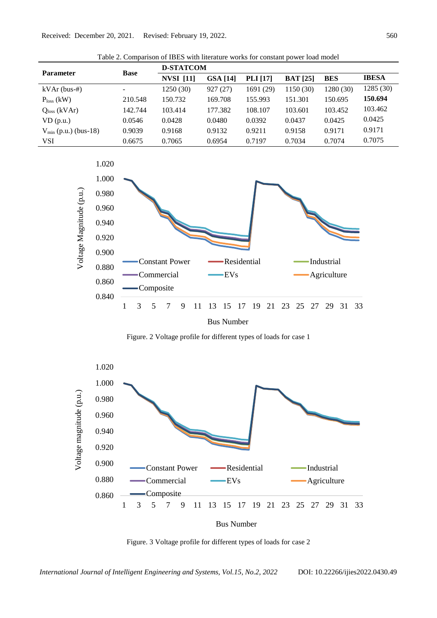Received: December 20, 2021. Revised: February 19, 2022. 560

| <b>Parameter</b>          | <b>Base</b> | <b>D-STATCOM</b> |                 |                 |                 |            |              |  |
|---------------------------|-------------|------------------|-----------------|-----------------|-----------------|------------|--------------|--|
|                           |             | <b>NVSI</b> [11] | <b>GSA</b> [14] | <b>PLI</b> [17] | <b>BAT</b> [25] | <b>BES</b> | <b>IBESA</b> |  |
| $kVAr$ (bus-#)            | -           | 1250(30)         | 927(27)         | 1691 (29)       | 1150 (30)       | 1280 (30)  | 1285 (30)    |  |
| $Ploss$ (kW)              | 210.548     | 150.732          | 169.708         | 155.993         | 151.301         | 150.695    | 150.694      |  |
| Q <sub>loss</sub> (kVAr)  | 142.744     | 103.414          | 177.382         | 108.107         | 103.601         | 103.452    | 103.462      |  |
| $VD$ (p.u.)               | 0.0546      | 0.0428           | 0.0480          | 0.0392          | 0.0437          | 0.0425     | 0.0425       |  |
| $V_{min}$ (p.u.) (bus-18) | 0.9039      | 0.9168           | 0.9132          | 0.9211          | 0.9158          | 0.9171     | 0.9171       |  |
| VSI                       | 0.6675      | 0.7065           | 0.6954          | 0.7197          | 0.7034          | 0.7074     | 0.7075       |  |

Table 2. Comparison of IBES with literature works for constant power load model



Figure. 2 Voltage profile for different types of loads for case 1



Figure. 3 Voltage profile for different types of loads for case 2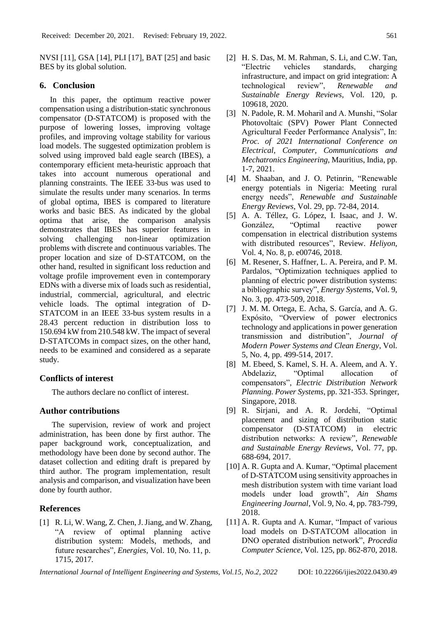NVSI [11], GSA [14], PLI [17], BAT [25] and basic BES by its global solution.

## **6. Conclusion**

In this paper, the optimum reactive power compensation using a distribution-static synchronous compensator (D-STATCOM) is proposed with the purpose of lowering losses, improving voltage profiles, and improving voltage stability for various load models. The suggested optimization problem is solved using improved bald eagle search (IBES), a contemporary efficient meta-heuristic approach that takes into account numerous operational and planning constraints. The IEEE 33-bus was used to simulate the results under many scenarios. In terms of global optima, IBES is compared to literature works and basic BES. As indicated by the global optima that arise, the comparison analysis demonstrates that IBES has superior features in solving challenging non-linear optimization problems with discrete and continuous variables. The proper location and size of D-STATCOM, on the other hand, resulted in significant loss reduction and voltage profile improvement even in contemporary EDNs with a diverse mix of loads such as residential, industrial, commercial, agricultural, and electric vehicle loads. The optimal integration of D-STATCOM in an IEEE 33-bus system results in a 28.43 percent reduction in distribution loss to 150.694 kW from 210.548 kW. The impact of several D-STATCOMs in compact sizes, on the other hand, needs to be examined and considered as a separate study.

# **Conflicts of interest**

The authors declare no conflict of interest.

## **Author contributions**

The supervision, review of work and project administration, has been done by first author. The paper background work, conceptualization, and methodology have been done by second author. The dataset collection and editing draft is prepared by third author. The program implementation, result analysis and comparison, and visualization have been done by fourth author.

# **References**

[1] R. Li, W. Wang, Z. Chen, J. Jiang, and W. Zhang, "A review of optimal planning active distribution system: Models, methods, and future researches", *Energies*, Vol. 10, No. 11, p. 1715, 2017.

- [2] H. S. Das, M. M. Rahman, S. Li, and C.W. Tan, "Electric vehicles standards, charging infrastructure, and impact on grid integration: A technological review", *Renewable and Sustainable Energy Reviews*, Vol. 120, p. 109618, 2020.
- [3] N. Padole, R. M. Moharil and A. Munshi, "Solar Photovoltaic (SPV) Power Plant Connected Agricultural Feeder Performance Analysis", In: *Proc. of 2021 International Conference on Electrical, Computer, Communications and Mechatronics Engineering,* Mauritius, India, pp. 1-7, 2021.
- [4] M. Shaaban, and J. O. Petinrin, "Renewable energy potentials in Nigeria: Meeting rural energy needs", *Renewable and Sustainable Energy Reviews*, Vol. 29, pp. 72-84, 2014.
- [5] A. A. Téllez, G. López, I. Isaac, and J. W. González, "Optimal reactive power compensation in electrical distribution systems with distributed resources", Review. *Heliyon*, Vol. 4, No. 8, p. e00746, 2018.
- [6] M. Resener, S. Haffner, L. A. Pereira, and P. M. Pardalos, "Optimization techniques applied to planning of electric power distribution systems: a bibliographic survey", *Energy Systems*, Vol. 9, No. 3, pp. 473-509, 2018.
- [7] J. M. M. Ortega, E. Acha, S. García, and A. G. Expósito, "Overview of power electronics technology and applications in power generation transmission and distribution", *Journal of Modern Power Systems and Clean Energy*, Vol. 5, No. 4, pp. 499-514, 2017.
- [8] M. Ebeed, S. Kamel, S. H. A. Aleem, and A. Y. Abdelaziz, "Optimal allocation of compensators", *Electric Distribution Network Planning. Power Systems*, pp. 321-353. Springer, Singapore, 2018.
- [9] R. Sirjani, and A. R. Jordehi, "Optimal placement and sizing of distribution static compensator (D-STATCOM) in electric distribution networks: A review", *Renewable and Sustainable Energy Reviews*, Vol. 77, pp. 688-694, 2017.
- [10] A. R. Gupta and A. Kumar, "Optimal placement" of D-STATCOM using sensitivity approaches in mesh distribution system with time variant load models under load growth", *Ain Shams Engineering Journal*, Vol. 9, No. 4, pp. 783-799, 2018.
- [11] A. R. Gupta and A. Kumar, "Impact of various load models on D-STATCOM allocation in DNO operated distribution network", *Procedia Computer Science*, Vol. 125, pp. 862-870, 2018.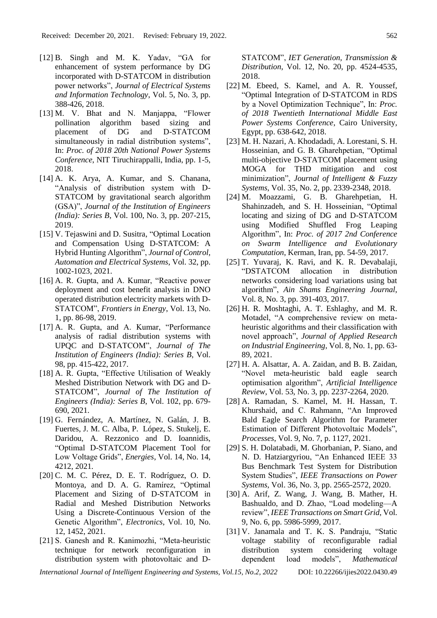- [12] B. Singh and M. K. Yadav, "GA for enhancement of system performance by DG incorporated with D-STATCOM in distribution power networks", *Journal of Electrical Systems and Information Technology*, Vol. 5, No. 3, pp. 388-426, 2018.
- [13] M. V. Bhat and N. Manjappa, "Flower pollination algorithm based sizing and placement of DG and D-STATCOM simultaneously in radial distribution systems", In: *Proc. of 2018 20th National Power Systems Conference*, NIT Tiruchirappalli, India, pp. 1-5, 2018.
- [14] A. K. Arya, A. Kumar, and S. Chanana, "Analysis of distribution system with D-STATCOM by gravitational search algorithm (GSA)", *Journal of the Institution of Engineers (India): Series B*, Vol. 100, No. 3, pp. 207-215, 2019.
- [15] V. Tejaswini and D. Susitra, "Optimal Location and Compensation Using D-STATCOM: A Hybrid Hunting Algorithm", *Journal of Control, Automation and Electrical Systems*, Vol. 32, pp. 1002-1023, 2021.
- [16] A. R. Gupta, and A. Kumar, "Reactive power deployment and cost benefit analysis in DNO operated distribution electricity markets with D-STATCOM", *Frontiers in Energy*, Vol. 13, No. 1, pp. 86-98, 2019.
- [17] A. R. Gupta, and A. Kumar, "Performance analysis of radial distribution systems with UPQC and D-STATCOM", *Journal of The Institution of Engineers (India): Series B*, Vol. 98, pp. 415-422, 2017.
- [18] A. R. Gupta, "Effective Utilisation of Weakly Meshed Distribution Network with DG and D-STATCOM", *Journal of The Institution of Engineers (India): Series B*, Vol. 102, pp. 679- 690, 2021.
- [19] G. Fernández, A. Martínez, N. Galán, J. B. Fuertes, J. M. C. Alba, P. López, S. Stukelj, E. Daridou, A. Rezzonico and D. Ioannidis, "Optimal D-STATCOM Placement Tool for Low Voltage Grids", *Energies*, Vol. 14, No. 14, 4212, 2021.
- [20] C. M. C. Pérez, D. E. T. Rodríguez, O. D. Montoya, and D. A. G. Ramírez, "Optimal Placement and Sizing of D-STATCOM in Radial and Meshed Distribution Networks Using a Discrete-Continuous Version of the Genetic Algorithm", *Electronics*, Vol. 10, No. 12, 1452, 2021.
- [21] S. Ganesh and R. Kanimozhi, "Meta-heuristic technique for network reconfiguration in distribution system with photovoltaic and D-

STATCOM", *IET Generation, Transmission & Distribution*, Vol. 12, No. 20, pp. 4524-4535, 2018.

- [22] M. Ebeed, S. Kamel, and A. R. Youssef, "Optimal Integration of D-STATCOM in RDS by a Novel Optimization Technique", In: *Proc. of 2018 Twentieth International Middle East Power Systems Conference*, Cairo University, Egypt, pp. 638-642, 2018.
- [23] M. H. Nazari, A. Khodadadi, A. Lorestani, S. H. Hosseinian, and G. B. Gharehpetian, "Optimal multi-objective D-STATCOM placement using MOGA for THD mitigation and cost minimization", *Journal of Intelligent & Fuzzy Systems*, Vol. 35, No. 2, pp. 2339-2348, 2018.
- [24] M. Moazzami, G. B. Gharehpetian, H. Shahinzadeh, and S. H. Hosseinian, "Optimal locating and sizing of DG and D-STATCOM using Modified Shuffled Frog Leaping Algorithm", In: *Proc. of 2017 2nd Conference on Swarm Intelligence and Evolutionary Computation*, Kerman, Iran, pp. 54-59, 2017.
- [25] T. Yuvaraj, K. Ravi, and K. R. Devabalaji, "DSTATCOM allocation in distribution networks considering load variations using bat algorithm", *Ain Shams Engineering Journal*, Vol. 8, No. 3, pp. 391-403, 2017.
- [26] H. R. Moshtaghi, A. T. Eshlaghy, and M. R. Motadel, "A comprehensive review on metaheuristic algorithms and their classification with novel approach", *Journal of Applied Research on Industrial Engineering*, Vol. 8, No. 1, pp. 63- 89, 2021.
- [27] H. A. Alsattar, A. A. Zaidan, and B. B. Zaidan, "Novel meta-heuristic bald eagle search optimisation algorithm", *Artificial Intelligence Review*, Vol. 53, No. 3, pp. 2237-2264, 2020.
- [28] A. Ramadan, S. Kamel, M. H. Hassan, T. Khurshaid, and C. Rahmann, "An Improved Bald Eagle Search Algorithm for Parameter Estimation of Different Photovoltaic Models", *Processes*, Vol. 9, No. 7, p. 1127, 2021.
- [29] S. H. Dolatabadi, M. Ghorbanian, P. Siano, and N. D. Hatziargyriou, "An Enhanced IEEE 33 Bus Benchmark Test System for Distribution System Studies", *IEEE Transactions on Power Systems*, Vol. 36, No. 3, pp. 2565-2572, 2020.
- [30] A. Arif, Z. Wang, J. Wang, B. Mather, H. Bashualdo, and D. Zhao, "Load modeling—A review", *IEEE Transactions on Smart Grid*, Vol. 9, No. 6, pp. 5986-5999, 2017.
- [31] V. Janamala and T. K. S. Pandraju, "Static voltage stability of reconfigurable radial distribution system considering voltage dependent load models", *Mathematical*